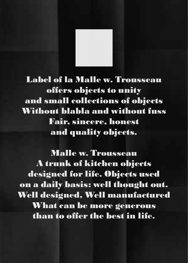

Malle w. Trousseau A trunk of kitchen objects designed for life. Objects used on a daily basis: well thought out. Well designed, Well manufactured What can be more generous than to offer the best in life.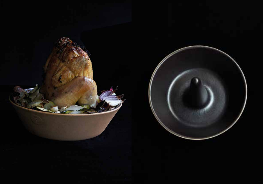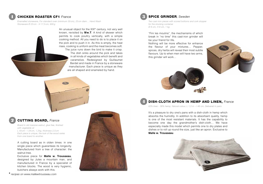#### CHICKEN ROASTER CF1 *France*

*Enamelled stoneware, For standard oven (minimum 30 cm), 23 cm diam… Hand Wash Stoneware Ø 23 cm - H 17,5 cm, 900 g* 

mallewtrousseau.com

An unusual object for the XIX<sup>th</sup> century, not very well known, revisited by **Mw.T**. A kind of skewer which permits to cook poultry vertically, with a simple cooking method. All you need to do is to place it on the pick and to push it in. As this is empty, the heat rises, cooking is uniform and the meat becomes soft. The juice runs down the bird to make it crisp. The dish sinks around the pick and takes in all kinds of vegetables which benefit and caramelize. Redesigned by Guillaumet Bardet and made in France by a stoneware manufacturer. Each piece is unique as they are all shaped and enameled by hand.

SPICE GRINDER*, Sweden* 

*Ø 8 cm, H 8 cm, 1 kg* 

*Two cast-iron pieces with scored bottoms and cork stopper for the stocking container*

"Fini les moulins", the mechanisms of which break in "no time" this cast-iron grinder will be your friend for life.

Nothing will be more effective for enhance the flavour of your mixtures… Pepper, spices, dry herbs will reveal their most subtle flavours. Up to when men will have two arms, this grinder will work…







#### DISH-CLOTH APRON IN HEMP AND LINEN, *France*

*62% linen - 38% hemp, Natural colour, L 1,3 m – l 46 cm, Delivered in pairs*

It's a pleasure to dry one's pans with a dish-cloth in hemp which absorbs the humidity. In addition to its absorbant quality, hemp is one of the most resistant materials. It has the capability to become one day the grandmother's dish-cloth… We have especially made this model which permits one to dry plates and dishes or to roll up round the size, just like an apron. Exclusive to **Malle w. Trousseau**.



CUTTING BOARD, *France*

*Board in old massive walnut, glue free, finished with vegetable oil L 43 cm – l 24 cm, 1,3 kg, thickness 2,5 cm Each piece is unique, the look of the wood varies from one board to another.*

A cutting board as in olden times: in one single piece which guarantees its longevity. Manufactured from a tree of character: the walnut-tree.

Exclusive piece for **Malle w. Trousseau**, designed by Jules a mountain man, and manufactured in France by a specialist of kitchen blocks. The wood is very hygienic, butchers always work with this.

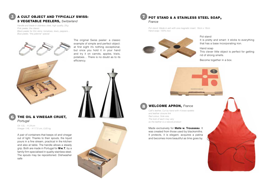### A CULT OBJECT AND TYPICALLY SWISS: 3 VEGETABLE PEELERS, *Switzerland*

*Handle and blade in stainless steel, high quality, 29 g Pink peeler, the classic Black peeler for thin skins: tomatoes, kiwis, peppers… Blue peeler, "the julienne" special*



The original Swiss peeler: a classic example of simple and perfect object: at first sight it's nothing exceptional, but once you hold it in your hand and try it on carrots, apples, kiwis, potatoes… There is no doubt as to its efficiency.



# THE OIL & VINEGAR CRUET,

*Oil 1/2L - H 24 cm Vinegar 1/4L - H 17.5 cm, 0,65 kg Portugal*

A pair of containers that keeps oil and vinegar out of light. Thanks to their spouts, the liquid pours in a fine stream, practical in the kitchen and also at table. The handle allows a steady grip. Both are made in Portugal for **Mw.T**, by a family firm specialised in quality stainless steel. The spouts may be repositioned. Dishwasher safe



# POT STAND & A STAINLESS STEEL SOAP,

#### *France*

*Pot stand: Made in ash with one magnetic insert. 18cm x 18cm Hand soap: 100% inox*



#### Pot stand

It is pretty and smart: it sticks to everything that has a base incorporating iron.

#### Hand soap

This clever little object is perfect for getting rid of strong smells.

Become together in a box.





#### WELCOME APRON, *France*

*Calf's leather, Cut by hand with 4 brass eyelets and leather closure link Red colour, Sole size. The look of each may vary as the leather is a natural product*

Made exclusively for **Malle w. Trousseau**. It was created from those used by blacksmiths. It protects, it is elegant, acquires a patina and becomes more beautiful as time goes by.

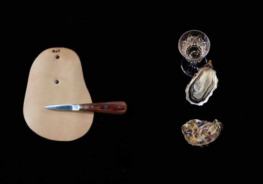



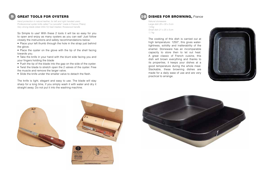*Hand protection in natural leather, for left and right handed users Professionnal oyster knife called "La Lancette" made in France (Thiers) Very strong blade (steel 240c13) heat treated, Rosewood handle*

So Simple to use! With these 2 tools it will be so easy for you to open and enjoy as many oysters as you can eat! Just follow closely the instructions and safety recommendations below:

- Place your left thumb through the hole in the strap just behind the glove.
- Place the oyster on the glove with the tip of the shell facing towards you.
- Take the knife in your hand with the blunt side facing you and your fingers holding the blade
- Push the tip of the blade into the gap on the side of the oyster.
- Twist the blade to stretch open the 2 valves of the oyster. Free the muscle and remove the larger valve.
- Slide the knife under the smaller valve to detach the flesh.

The knife is light, elegant and easy to use. The blade will stay sharp for a long time, if you simply wash it with water and dry it straight away. Do not put it into the washing machine.

## GREAT TOOLS FOR OYSTERS **EXECUTERS CREAT TOOLS FOR OYSTERS**

*Natural stoneware Large dish 26 x 30 x 5 cm 1,6 kg Small dish 21 x 25 x 5 cm 1,1 kg*

The cooking of this dish is carried out at high temperature: 1250°, this gives watertightness, solidity and inalterability of the enamel. Stoneware has an incomparable capacity to store then to let out heat. A great classic of French cuisine, this dish will brown everything and thanks to its properties, it keeps your dishes at a good temperature during the whole meal. Stackable, these browning dishes are made for a daily ease of use and are very practical to arrange.







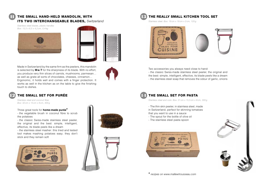## THE SMALL HAND-HELD MANDOLIN, WITH ITS TWO INTERCHANGEABLE BLADES, *Switzerland*

*Stainless steel blades, plastic handles Box: 15,5 x 6,5 x 4,2 cm, 0,4 kg*





Made in Switzerland by the same firm as the peelers, this mandolin is selected by **Mw.T** for the sharpness of its blade. With no effort, you produce very thin slices of carrots, mushrooms, parmesan… as well as grate all sorts of chocolates, cheeses, cinnamon… Ergonomic, it holds well and comes with a finger protection. It works as well in the kitchen as on the table to give the finishing touch to dishes.

## THE SMALL SET FOR PURÉE

*Stainless steel and coconut fiber, Box: 32 cm x 15 cm x 8 cm, 400 g*

#### Three great tools for **home-made purée\***

- the vegetable brush in coconut fibre to scrub the potatoes

- the classic Swiss-made stainless steel peeler, the original and the best: simple, intelligent, effective, its blade peels like a dream - the stainless steel masher: this tried and tested tool makes mashing potatoes easy; they don't stick and they remain soft







## THE REALLY SMALL KITCHEN TOOL SET

*Stainless steel. Box: 16 cm x 16 cm x 2 cm, 120 g*



Two accessories you always need close to hand: - the classic Swiss-made stainless steel peeler, the original and the best: simple, intelligent, effective, its blade peels like a dream - the stainless steel soap that removes the odour of garlic, onions



#### THE SMALL SET FOR PASTA

*Stainless steel and cork. Box: 31 cm x 15,5 cm x 8 cm, 300 g*

- The thin skin peeler, in stainless steel, made in Switzerland, perfect for skinning tomatoes that you want to use in a sauce
- The spout for the bottle of olive oil
- The stainless steel pasta spoon



**\*** *recipes on www.mallewtrousseau.com*

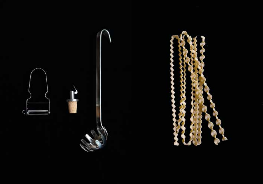



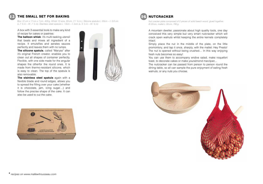#### THE SMALL SET FOR BAKING

*Box: 31 cm x 17 cm x 7 cm. 400 g. Whisk 10 wire, 30 cm, (11 ¾ in.). Silicone spatula L: 20cm – l: 3,6 cm (L.7 ¾ in – W .1 ½ in). Stainless steel spatula L: 13cm – l: 2cm (L: 5 ¼ in – W: ¾ in)*

A box with 3 essential tools to make any kind of recipe for cakes or pastries:

**The balloon whisk:** it's multi-tasking utensil that beats and mixes all ingredient of a recipe. It emulsifies and aerates sauces perfectly and leaves them with no lumps.

**The silicone spatula**, called "Maryse" after it's original French creator, enables you to clean out all shapes of container perfectly. Flexible, with one side made for the angular shapes the otherfor the round ones. It is made from thermo-resistant silicone, which is easy to clean. The top of the spatula is also removable.

**The stainless steel spatula** again with a flexible blade and round edges, allows you to spread the filling over your cake (whether it is chocolate, jam, icing sugar…) and follow the precise shape of the cake. It can also be used to cut the cake.





### NUTCRACKER

*Nut cracker plate composed of 2 pieces of solid beech wood, glued together. Ø 20 cm, mallet L 30 cm, 780 g.*

A mountain dweller, passionate about high quality tools, one day conceived this very simple but very smart nutcracker which will crack open walnuts whilst keeping the entire kernels completely intact.

Simply place the nut in the middle of the plate, on the little promontory, and tap it once, sharply, with the mallet: Hey Presto! The nut is opened without being crushed… In this way enjoying fresh nuts becomes so easy!

You can use them to accompany endive salad, make roquefort toast, to decorate cakes or make youralmond marzipan...

The nutcracker can be passed from person to person round the dining table, so all can sample the pure enjoyment of eating fresh walnuts, or any nuts you choose.



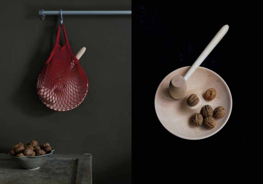